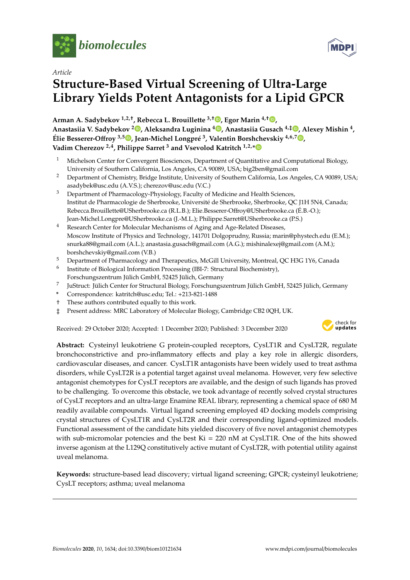

*Article*

# **Structure-Based Virtual Screening of Ultra-Large Library Yields Potent Antagonists for a Lipid GPCR**

**Arman A. Sadybekov 1,2,**† **, Rebecca L. Brouillette 3,**† **[,](https://orcid.org/0000-0002-5466-9653) Egor Marin 4,**† **[,](https://orcid.org/0000-0003-2369-1732) Anastasiia V. Sadybekov [2](https://orcid.org/0000-0003-3925-983X) , Aleksandra Luginina <sup>4</sup> [,](https://orcid.org/0000-0003-2697-456X) Anastasiia Gusach 4,**‡ **[,](https://orcid.org/0000-0002-2594-8573) Alexey Mishin <sup>4</sup> , Élie Besserer-O**ff**roy 3,5 [,](https://orcid.org/0000-0002-7473-7043) Jean-Michel Longpré 3 , Valentin Borshchevskiy 4,6,7 [,](https://orcid.org/0000-0003-4398-9712) Vadim Cherezov 2,4, Philippe Sarret <sup>3</sup> and Vsevolod Katritch 1,2,[\\*](https://orcid.org/0000-0003-3883-4505)**

- <sup>1</sup> Michelson Center for Convergent Biosciences, Department of Quantitative and Computational Biology, University of Southern California, Los Angeles, CA 90089, USA; big2ben@gmail.com
- <sup>2</sup> Department of Chemistry, Bridge Institute, University of Southern California, Los Angeles, CA 90089, USA; asadybek@usc.edu (A.V.S.); cherezov@usc.edu (V.C.)
- <sup>3</sup> Department of Pharmacology-Physiology, Faculty of Medicine and Health Sciences, Institut de Pharmacologie de Sherbrooke, Université de Sherbrooke, Sherbrooke, QC J1H 5N4, Canada; Rebecca.Brouillette@USherbrooke.ca (R.L.B.); Elie.Besserer-Offroy@USherbrooke.ca (É.B.-O.); Jean-Michel.Longpre@USherbrooke.ca (J.-M.L.); Philippe.Sarret@USherbrooke.ca (P.S.)
- <sup>4</sup> Research Center for Molecular Mechanisms of Aging and Age-Related Diseases, Moscow Institute of Physics and Technology, 141701 Dolgoprudny, Russia; marin@phystech.edu (E.M.); snurka88@gmail.com (A.L.); anastasia.gusach@gmail.com (A.G.); mishinalexej@gmail.com (A.M.); borshchevskiy@gmail.com (V.B.)
- <sup>5</sup> Department of Pharmacology and Therapeutics, McGill University, Montreal, QC H3G 1Y6, Canada
- 6 Institute of Biological Information Processing (IBI-7: Structural Biochemistry), Forschungszentrum Jülich GmbH, 52425 Jülich, Germany
- 7 JuStruct: Jülich Center for Structural Biology, Forschungszentrum Jülich GmbH, 52425 Jülich, Germany
- **\*** Correspondence: katritch@usc.edu; Tel.: +213-821-1488
- † These authors contributed equally to this work.
- ‡ Present address: MRC Laboratory of Molecular Biology, Cambridge CB2 0QH, UK.

Received: 29 October 2020; Accepted: 1 December 2020; Published: 3 December 2020



**MDP** 

**Abstract:** Cysteinyl leukotriene G protein-coupled receptors, CysLT1R and CysLT2R, regulate bronchoconstrictive and pro-inflammatory effects and play a key role in allergic disorders, cardiovascular diseases, and cancer. CysLT1R antagonists have been widely used to treat asthma disorders, while CysLT2R is a potential target against uveal melanoma. However, very few selective antagonist chemotypes for CysLT receptors are available, and the design of such ligands has proved to be challenging. To overcome this obstacle, we took advantage of recently solved crystal structures of CysLT receptors and an ultra-large Enamine REAL library, representing a chemical space of 680 M readily available compounds. Virtual ligand screening employed 4D docking models comprising crystal structures of CysLT1R and CysLT2R and their corresponding ligand-optimized models. Functional assessment of the candidate hits yielded discovery of five novel antagonist chemotypes with sub-micromolar potencies and the best  $Ki = 220$  nM at CysLT1R. One of the hits showed inverse agonism at the L129Q constitutively active mutant of CysLT2R, with potential utility against uveal melanoma.

**Keywords:** structure-based lead discovery; virtual ligand screening; GPCR; cysteinyl leukotriene; CysLT receptors; asthma; uveal melanoma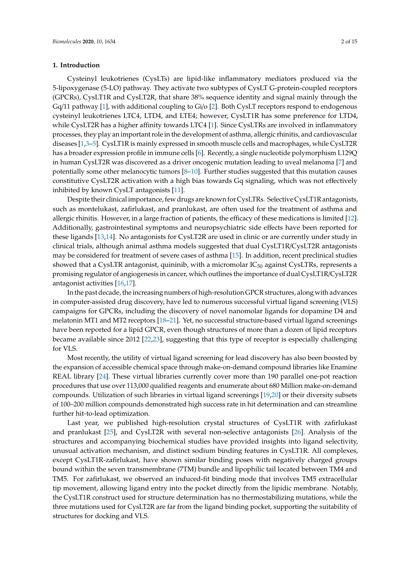#### **1. Introduction**

Cysteinyl leukotrienes (CysLTs) are lipid-like inflammatory mediators produced via the 5-lipoxygenase (5-LO) pathway. They activate two subtypes of CysLT G-protein-coupled receptors (GPCRs), CysLT1R and CysLT2R, that share 38% sequence identity and signal mainly through the Gq/11 pathway [\[1\]](#page-12-0), with additional coupling to Gi/o [\[2\]](#page-12-1). Both CysLT receptors respond to endogenous cysteinyl leukotrienes LTC4, LTD4, and LTE4; however, CysLT1R has some preference for LTD4, while CysLT2R has a higher affinity towards LTC4 [\[1\]](#page-12-0). Since CysLTRs are involved in inflammatory processes, they play an important role in the development of asthma, allergic rhinitis, and cardiovascular diseases [\[1,](#page-12-0)[3](#page-12-2)[–5\]](#page-12-3). CysLT1R is mainly expressed in smooth muscle cells and macrophages, while CysLT2R has a broader expression profile in immune cells [\[6\]](#page-12-4). Recently, a single nucleotide polymorphism L129Q in human CysLT2R was discovered as a driver oncogenic mutation leading to uveal melanoma [\[7\]](#page-12-5) and potentially some other melanocytic tumors [\[8](#page-12-6)[–10\]](#page-12-7). Further studies suggested that this mutation causes constitutive CysLT2R activation with a high bias towards Gq signaling, which was not effectively inhibited by known CysLT antagonists [\[11\]](#page-12-8).

Despite their clinical importance, few drugs are known for CysLTRs. Selective CysLT1R antagonists, such as montelukast, zafirlukast, and pranlukast, are often used for the treatment of asthma and allergic rhinitis. However, in a large fraction of patients, the efficacy of these medications is limited [\[12\]](#page-12-9). Additionally, gastrointestinal symptoms and neuropsychiatric side effects have been reported for these ligands [\[13,](#page-12-10)[14\]](#page-12-11). No antagonists for CysLT2R are used in clinic or are currently under study in clinical trials, although animal asthma models suggested that dual CysLT1R/CysLT2R antagonists may be considered for treatment of severe cases of asthma [\[15\]](#page-12-12). In addition, recent preclinical studies showed that a CysLTR antagonist, quininib, with a micromolar  $IC_{50}$  against CysLTRs, represents a promising regulator of angiogenesis in cancer, which outlines the importance of dual CysLT1R/CysLT2R antagonist activities [\[16,](#page-12-13)[17\]](#page-12-14).

In the past decade, the increasing numbers of high-resolution GPCR structures, along with advances in computer-assisted drug discovery, have led to numerous successful virtual ligand screening (VLS) campaigns for GPCRs, including the discovery of novel nanomolar ligands for dopamine D4 and melatonin MT1 and MT2 receptors [\[18](#page-13-0)[–21\]](#page-13-1). Yet, no successful structure-based virtual ligand screenings have been reported for a lipid GPCR, even though structures of more than a dozen of lipid receptors became available since 2012 [\[22](#page-13-2)[,23\]](#page-13-3), suggesting that this type of receptor is especially challenging for VLS.

Most recently, the utility of virtual ligand screening for lead discovery has also been boosted by the expansion of accessible chemical space through make-on-demand compound libraries like Enamine REAL library [\[24\]](#page-13-4). These virtual libraries currently cover more than 190 parallel one-pot reaction procedures that use over 113,000 qualified reagents and enumerate about 680 Million make-on-demand compounds. Utilization of such libraries in virtual ligand screenings [\[19](#page-13-5)[,20\]](#page-13-6) or their diversity subsets of 100–200 million compounds demonstrated high success rate in hit determination and can streamline further hit-to-lead optimization.

Last year, we published high-resolution crystal structures of CysLT1R with zafirlukast and pranlukast [\[25\]](#page-13-7), and CysLT2R with several non-selective antagonists [\[26\]](#page-13-8). Analysis of the structures and accompanying biochemical studies have provided insights into ligand selectivity, unusual activation mechanism, and distinct sodium binding features in CysLT1R. All complexes, except CysLT1R-zafirlukast, have shown similar binding poses with negatively charged groups bound within the seven transmembrane (7TM) bundle and lipophilic tail located between TM4 and TM5. For zafirlukast, we observed an induced-fit binding mode that involves TM5 extracellular tip movement, allowing ligand entry into the pocket directly from the lipidic membrane. Notably, the CysLT1R construct used for structure determination has no thermostabilizing mutations, while the three mutations used for CysLT2R are far from the ligand binding pocket, supporting the suitability of structures for docking and VLS.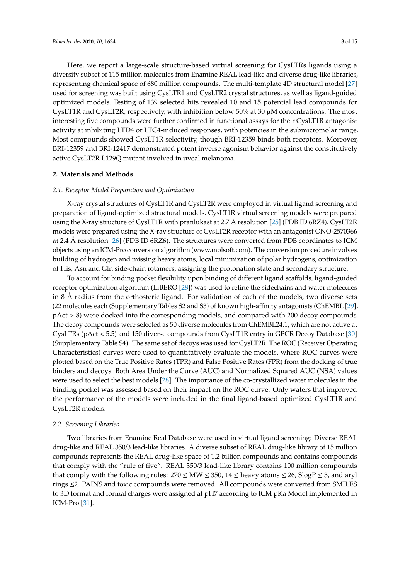Here, we report a large-scale structure-based virtual screening for CysLTRs ligands using a diversity subset of 115 million molecules from Enamine REAL lead-like and diverse drug-like libraries, representing chemical space of 680 million compounds. The multi-template 4D structural model [\[27\]](#page-13-9) used for screening was built using CysLTR1 and CysLTR2 crystal structures, as well as ligand-guided optimized models. Testing of 139 selected hits revealed 10 and 15 potential lead compounds for CysLT1R and CysLT2R, respectively, with inhibition below 50% at 30  $\mu$ M concentrations. The most interesting five compounds were further confirmed in functional assays for their CysLT1R antagonist activity at inhibiting LTD4 or LTC4-induced responses, with potencies in the submicromolar range. Most compounds showed CysLT1R selectivity, though BRI-12359 binds both receptors. Moreover, BRI-12359 and BRI-12417 demonstrated potent inverse agonism behavior against the constitutively active CysLT2R L129Q mutant involved in uveal melanoma.

#### **2. Materials and Methods**

#### *2.1. Receptor Model Preparation and Optimization*

X-ray crystal structures of CysLT1R and CysLT2R were employed in virtual ligand screening and preparation of ligand-optimized structural models. CysLT1R virtual screening models were prepared using the X-ray structure of CysLT1R with pranlukast at 2.7 Å resolution [\[25\]](#page-13-7) (PDB ID 6RZ4). CysLT2R models were prepared using the X-ray structure of CysLT2R receptor with an antagonist ONO-2570366 at 2.4 Å resolution [\[26\]](#page-13-8) (PDB ID 6RZ6). The structures were converted from PDB coordinates to ICM objects using an ICM-Pro conversion algorithm (www.molsoft.com). The conversion procedure involves building of hydrogen and missing heavy atoms, local minimization of polar hydrogens, optimization of His, Asn and Gln side-chain rotamers, assigning the protonation state and secondary structure.

To account for binding pocket flexibility upon binding of different ligand scaffolds, ligand-guided receptor optimization algorithm (LiBERO [\[28\]](#page-13-10)) was used to refine the sidechains and water molecules in 8 Å radius from the orthosteric ligand. For validation of each of the models, two diverse sets (22 molecules each (Supplementary Tables S2 and S3) of known high-affinity antagonists (ChEMBL [\[29\]](#page-13-11), pAct > 8) were docked into the corresponding models, and compared with 200 decoy compounds. The decoy compounds were selected as 50 diverse molecules from ChEMBL24.1, which are not active at CysLTRs (pAct < 5.5) and 150 diverse compounds from CysLT1R entry in GPCR Decoy Database [\[30\]](#page-13-12) (Supplementary Table S4). The same set of decoys was used for CysLT2R. The ROC (Receiver Operating Characteristics) curves were used to quantitatively evaluate the models, where ROC curves were plotted based on the True Positive Rates (TPR) and False Positive Rates (FPR) from the docking of true binders and decoys. Both Area Under the Curve (AUC) and Normalized Squared AUC (NSA) values were used to select the best models [\[28\]](#page-13-10). The importance of the co-crystallized water molecules in the binding pocket was assessed based on their impact on the ROC curve. Only waters that improved the performance of the models were included in the final ligand-based optimized CysLT1R and CysLT2R models.

#### *2.2. Screening Libraries*

Two libraries from Enamine Real Database were used in virtual ligand screening: Diverse REAL drug-like and REAL 350/3 lead-like libraries. A diverse subset of REAL drug-like library of 15 million compounds represents the REAL drug-like space of 1.2 billion compounds and contains compounds that comply with the "rule of five". REAL 350/3 lead-like library contains 100 million compounds that comply with the following rules:  $270 \leq MW \leq 350$ ,  $14 \leq$  heavy atoms  $\leq 26$ ,  $SlogP \leq 3$ , and aryl rings ≤2. PAINS and toxic compounds were removed. All compounds were converted from SMILES to 3D format and formal charges were assigned at pH7 according to ICM pKa Model implemented in ICM-Pro [\[31\]](#page-13-13).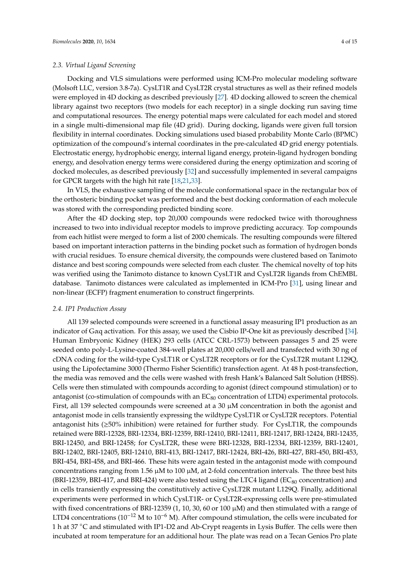Docking and VLS simulations were performed using ICM-Pro molecular modeling software (Molsoft LLC, version 3.8-7a). CysLT1R and CysLT2R crystal structures as well as their refined models were employed in 4D docking as described previously [\[27\]](#page-13-9). 4D docking allowed to screen the chemical library against two receptors (two models for each receptor) in a single docking run saving time and computational resources. The energy potential maps were calculated for each model and stored in a single multi-dimensional map file (4D grid). During docking, ligands were given full torsion flexibility in internal coordinates. Docking simulations used biased probability Monte Carlo (BPMC) optimization of the compound's internal coordinates in the pre-calculated 4D grid energy potentials. Electrostatic energy, hydrophobic energy, internal ligand energy, protein-ligand hydrogen bonding energy, and desolvation energy terms were considered during the energy optimization and scoring of docked molecules, as described previously [\[32\]](#page-13-14) and successfully implemented in several campaigns for GPCR targets with the high hit rate [\[18,](#page-13-0)[21](#page-13-1)[,33\]](#page-13-15).

In VLS, the exhaustive sampling of the molecule conformational space in the rectangular box of the orthosteric binding pocket was performed and the best docking conformation of each molecule was stored with the corresponding predicted binding score.

After the 4D docking step, top 20,000 compounds were redocked twice with thoroughness increased to two into individual receptor models to improve predicting accuracy. Top compounds from each hitlist were merged to form a list of 2000 chemicals. The resulting compounds were filtered based on important interaction patterns in the binding pocket such as formation of hydrogen bonds with crucial residues. To ensure chemical diversity, the compounds were clustered based on Tanimoto distance and best scoring compounds were selected from each cluster. The chemical novelty of top hits was verified using the Tanimoto distance to known CysLT1R and CysLT2R ligands from ChEMBL database. Tanimoto distances were calculated as implemented in ICM-Pro [\[31\]](#page-13-13), using linear and non-linear (ECFP) fragment enumeration to construct fingerprints.

#### *2.4. IP1 Production Assay*

All 139 selected compounds were screened in a functional assay measuring IP1 production as an indicator of Gαq activation. For this assay, we used the Cisbio IP-One kit as previously described [\[34\]](#page-13-16). Human Embryonic Kidney (HEK) 293 cells (ATCC CRL-1573) between passages 5 and 25 were seeded onto poly-L-Lysine-coated 384-well plates at 20,000 cells/well and transfected with 30 ng of cDNA coding for the wild-type CysLT1R or CysLT2R receptors or for the CysLT2R mutant L129Q, using the Lipofectamine 3000 (Thermo Fisher Scientific) transfection agent. At 48 h post-transfection, the media was removed and the cells were washed with fresh Hank's Balanced Salt Solution (HBSS). Cells were then stimulated with compounds according to agonist (direct compound stimulation) or to antagonist (co-stimulation of compounds with an  $EC_{80}$  concentration of LTD4) experimental protocols. First, all 139 selected compounds were screened at a 30 µM concentration in both the agonist and antagonist mode in cells transiently expressing the wildtype CysLT1R or CysLT2R receptors. Potential antagonist hits (≥50% inhibition) were retained for further study. For CysLT1R, the compounds retained were BRI-12328, BRI-12334, BRI-12359, BRI-12410, BRI-12411, BRI-12417, BRI-12424, BRI-12435, BRI-12450, and BRI-12458; for CysLT2R, these were BRI-12328, BRI-12334, BRI-12359, BRI-12401, BRI-12402, BRI-12405, BRI-12410, BRI-413, BRI-12417, BRI-12424, BRI-426, BRI-427, BRI-450, BRI-453, BRI-454, BRI-458, and BRI-466. These hits were again tested in the antagonist mode with compound concentrations ranging from 1.56  $\mu$ M to 100  $\mu$ M, at 2-fold concentration intervals. The three best hits (BRI-12359, BRI-417, and BRI-424) were also tested using the LTC4 ligand ( $EC_{80}$  concentration) and in cells transiently expressing the constitutively active CysLT2R mutant L129Q. Finally, additional experiments were performed in which CysLT1R- or CysLT2R-expressing cells were pre-stimulated with fixed concentrations of BRI-12359 (1, 10, 30, 60 or 100 µM) and then stimulated with a range of LTD4 concentrations ( $10^{-12}$  M to  $10^{-6}$  M). After compound stimulation, the cells were incubated for 1 h at 37 °C and stimulated with IP1-D2 and Ab-Crypt reagents in Lysis Buffer. The cells were then incubated at room temperature for an additional hour. The plate was read on a Tecan Genios Pro plate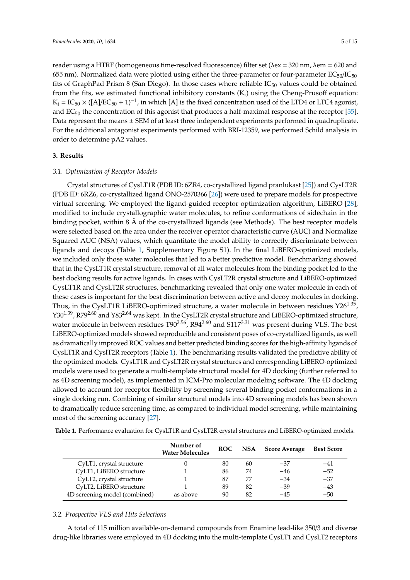reader using a HTRF (homogeneous time-resolved fluorescence) filter set (λex = 320 nm, λem = 620 and 655 nm). Normalized data were plotted using either the three-parameter or four-parameter  $EC_{50}/IC_{50}$ fits of GraphPad Prism 8 (San Diego). In those cases where reliable  $IC_{50}$  values could be obtained from the fits, we estimated functional inhibitory constants  $(K_i)$  using the Cheng-Prusoff equation:  $K_i = IC_{50} \times ([A/EC_{50} + 1)^{-1}$ , in which [A] is the fixed concentration used of the LTD4 or LTC4 agonist, and EC<sup>50</sup> the concentration of this agonist that produces a half-maximal response at the receptor [\[35\]](#page-13-17). Data represent the means  $\pm$  SEM of at least three independent experiments performed in quadruplicate. For the additional antagonist experiments performed with BRI-12359, we performed Schild analysis in order to determine pA2 values.

#### **3. Results**

#### *3.1. Optimization of Receptor Models*

Crystal structures of CysLT1R (PDB ID: 6ZR4, co-crystallized ligand pranlukast [\[25\]](#page-13-7)) and CysLT2R (PDB ID: 6RZ6, co-crystallized ligand ONO-2570366 [\[26\]](#page-13-8)) were used to prepare models for prospective virtual screening. We employed the ligand-guided receptor optimization algorithm, LiBERO [\[28\]](#page-13-10), modified to include crystallographic water molecules, to refine conformations of sidechain in the binding pocket, within 8 Å of the co-crystallized ligands (see Methods). The best receptor models were selected based on the area under the receiver operator characteristic curve (AUC) and Normalize Squared AUC (NSA) values, which quantitate the model ability to correctly discriminate between ligands and decoys (Table [1,](#page-4-0) Supplementary Figure S1). In the final LiBERO-optimized models, we included only those water molecules that led to a better predictive model. Benchmarking showed that in the CysLT1R crystal structure, removal of all water molecules from the binding pocket led to the best docking results for active ligands. In cases with CysLT2R crystal structure and LiBERO-optimized CysLT1R and CysLT2R structures, benchmarking revealed that only one water molecule in each of these cases is important for the best discrimination between active and decoy molecules in docking. Thus, in the CysLT1R LiBERO-optimized structure, a water molecule in between residues Y26 $^{1.35}$ , Y30<sup>1.39</sup>, R79<sup>2.60</sup> and Y83<sup>2.64</sup> was kept. In the CysLT2R crystal structure and LiBERO-optimized structure, water molecule in between residues T90<sup>2.56</sup>, R94<sup>2.60</sup> and S117<sup>3.31</sup> was present during VLS. The best LiBERO-optimized models showed reproducible and consistent poses of co-crystallized ligands, as well as dramatically improved ROC values and better predicted binding scores for the high-affinity ligands of CysLT1R and CyslT2R receptors (Table [1\)](#page-4-0). The benchmarking results validated the predictive ability of the optimized models. CysLT1R and CysLT2R crystal structures and corresponding LiBERO-optimized models were used to generate a multi-template structural model for 4D docking (further referred to as 4D screening model), as implemented in ICM-Pro molecular modeling software. The 4D docking allowed to account for receptor flexibility by screening several binding pocket conformations in a single docking run. Combining of similar structural models into 4D screening models has been shown to dramatically reduce screening time, as compared to individual model screening, while maintaining most of the screening accuracy [\[27\]](#page-13-9).

|                               | Number of<br><b>Water Molecules</b> | <b>ROC</b> |    | NSA Score Average | <b>Best Score</b> |
|-------------------------------|-------------------------------------|------------|----|-------------------|-------------------|
| CyLT1, crystal structure      |                                     | 80         | 60 | $-37$             | -41               |
| CyLT1, LiBERO structure       |                                     | 86         | 74 | $-46$             | $-52$             |
| CyLT2, crystal structure      |                                     | 87         | 77 | $-34$             | $-37$             |
| CyLT2, LiBERO structure       |                                     | 89         | 82 | $-39$             | $-43$             |
| 4D screening model (combined) | as above                            | 90         | 82 | $-45$             | $-50$             |

<span id="page-4-0"></span>**Table 1.** Performance evaluation for CysLT1R and CysLT2R crystal structures and LiBERO-optimized models.

### *3.2. Prospective VLS and Hits Selections*

A total of 115 million available-on-demand compounds from Enamine lead-like 350/3 and diverse drug-like libraries were employed in 4D docking into the multi-template CysLT1 and CysLT2 receptors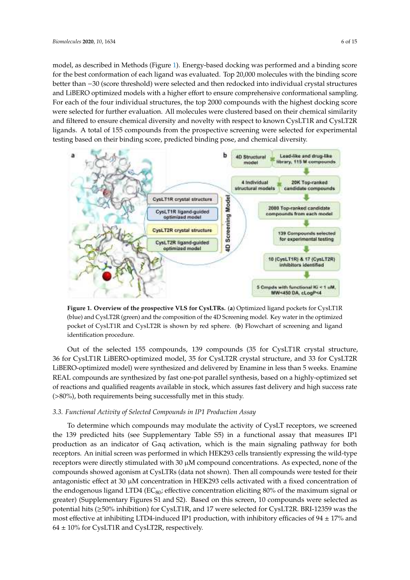model, as described in Methods (Figure [1\)](#page-5-0). Energy-based docking was performed and a binding score for the best conformation of each ligand was evaluated. Top 20,000 molecules with the binding score better than -30 (score threshold) were selected and then redocked into individual crystal structures and LiBERO optimized models with a higher effort to ensure comprehensive conformational sampling. For each of the four individual structures, the top 2000 compounds with the highest docking score were selected for further evaluation. All molecules were clustered based on their chemical similarity and filtered to ensure chemical diversity and novelty with respect to known  $\mathsf{CysLT1R}$  and  $\mathsf{CysLT2R}$ ligands. A total of 155 compounds from the prospective screening were selected for experimental testing based on their binding score, predicted binding pose, and chemical diversity.

<span id="page-5-0"></span>

(blue) and CysLT2R (green) and the composition of the 4D Screening model. Key water in the optimized pocket of CysLT1R and CysLT2R is shown by red sphere. (b) Flowchart of screening and ligand optimization procedure. (**b**) Flowchart of sphere. (**b**) Flowchart of sphere. (**b**) Flowchart of screening and  $\overline{a}$ **Figure 1. Overview of the prospective VLS for CysLTRs.** (**a**) Optimized ligand pockets for CysLT1R

36 for CysLT1R LiBERO-optimized model, 35 for CysLT2R crystal structure, and 33 for CysLT2R LiBERO-optimized model) were synthesized and delivered by Enamine in less than 5 weeks. Enamine REAL compounds are synthesized by fast one-pot parallel synthesis, based on a highly-optimized set of reactions and qualified reagents available in stock, which assures fast delivery and high success rate (>80%), both requirements being successfully met in this study. Out of the selected 155 compounds, 139 compounds (35 for CysLT1R crystal structure,

#### *3.3. Functional Activity of Selected Compounds in IP1 Production Assay*

*3.3. Functional Activity of Selected Compounds in IP1 Production Assay* To determine which compounds may modulate the activity of CysLT receptors, we screened the 139 predicted hits (see Supplementary Table S5) in a functional assay that measures IP1 production as an indicator of Gαq activation, which is the main signaling pathway for both receptors. An initial screen was performed in which HEK293 cells transiently expressing the wild-type receptors were directly stimulated with 30 µM compound concentrations. As expected, none of the compounds showed agonism at CysLTRs (data not shown). Then all compounds were tested for their antagonistic effect at 30 µM concentration in HEK293 cells activated with a fixed concentration of the endogenous ligand LTD4 (EC $_{80}$ ; effective concentration eliciting 80% of the maximum signal or greater) (Supplementary Figures S1 and S2). Based on this screen, 10 compounds were selected as potential hits (≥50% inhibition) for CysLT1R, and 17 were selected for CysLT2R. BRI-12359 was the most effective at inhibiting LTD4-induced IP1 production, with inhibitory efficacies of  $94 \pm 17\%$  and  $64 \pm 10\%$  for CysLT1R and CysLT2R, respectively.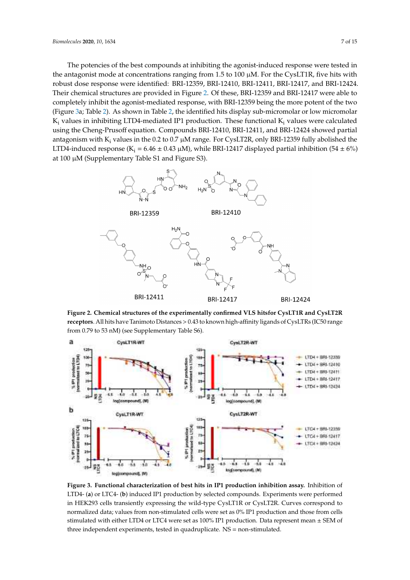The potencies of the best compounds at inhibiting the agonist-induced response were tested in *Biomolecules* **2020**, *10*, x 7 of 14 the antagonist mode at concentrations ranging from 1.5 to 100 μM. For the CysLT1R, five hits with robust dose response were identified: BRI-12359, BRI-12410, BRI-12411, BRI-12417, and BRI-12424. robust dose response were identified: BRI-12359, BRI-12410, BRI-12411, BRI-12417, and BRI-12424. Their chemical structures are provided in Figure [2.](#page-6-0) Of these, BRI-12359 and BRI-12417 were able to completely inhibit the agonist-mediated response, with BRI-12359 being the more potent of the two completely master are agonist-mediated response, with BRI-12359 being the more potent of the two<br>(Figure [3a](#page-6-1); Table [2\)](#page-7-0). As shown in Table [2,](#page-7-0) the identified hits display sub-micromolar or low micromolar  $\rm K_i$  values in inhibiting LTD4-mediated IP1 production. These functional  $\rm K_i$  values were calculated using the Cheng-Prusoff equation. Compounds BRI-12410, BRI-12411, and BRI-12424 showed partial antagonism with  $K_i$  values in the 0.2 to 0.7  $\mu$ M range. For CysLT2R, only BRI-12359 fully abolished the LTD4-induced response ( $K_i = 6.46 \pm 0.43 \mu M$ ), while BRI-12417 displayed partial inhibition (54  $\pm$  6%) at 100 µM (Supplementary Table S1 and Figure S3).  $\frac{1}{2}$ , Table 2). As shown in Table 2, the identified hits display sub-micromolar or low micromo  $(\mathbf{r}_2, \mathbf{r}_3)$ . Table 2). As shown in Table 2, the identified hits display sub-micromolar or low micromol  $m_{\rm F}$  in inhibiting LTD4-mediated IP1 production. These functional K values were solarly calculated using the Cheng-Provided at Providence of Cheng-Providence and Britain Cheng-Provident Equation. Compounds BRI-12410, BRI-124141, and BRI-12411, and BRI-124444, and BRI-124444, and BRI-124444, and BRI-124444, an s are cherg f rason equation. Compounds big 12 tro, but I value for 12 to 1.0 week.

<span id="page-6-0"></span>

Figure 2. Chemical structures of the experimentally confirmed VLS hitsfor CysLT1R and CysLT2R receptors. All hits have Tanimoto Distances > 0.43 to known high-affinity ligands of CysLTRs (IC50 range from 0.79 to 53 nM) (see Supplementary Table S6).  $\frac{1}{2}$ 

<span id="page-6-1"></span>

**Figure 3. Functional characterization of best hits in IP1 production inhibition assay.** Inhibition of **Figure 3. Functional characterization of best hits in IP1 production inhibition assay.** Inhibition of **Figure 3. Functional characterization of best hits in IP1 production inhibition assay.** Inhibition of LTD4- (**a**) or LTC4- (**b**) induced IP1 production by selected compounds. Experiments were performed in HEK293 cells transiently expressing the wild-type CysLT1R or CysLT2R. Curves correspond to normalized data; values from non-stimulated cells were set as 0% IP1 production and those from cells stimulated with either LTD4 or LTC4 were set as 100% IP1 production. Data represent mean ± SEM of three independent experiments, tested in quadruplicate. NS = non-stimulated.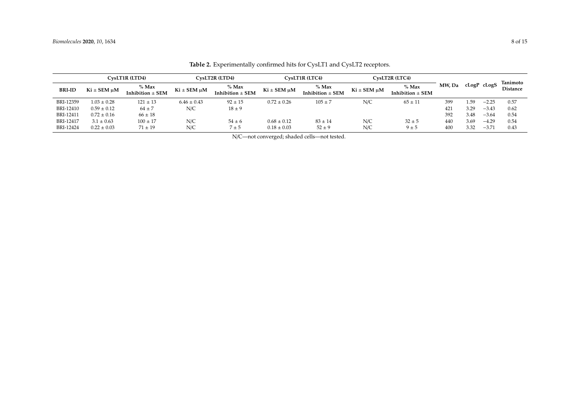<span id="page-7-0"></span>

|               |                 | CysLT1R (LTD4)<br>CysLT2R (LTD4)<br>CysLT1R (LTC4)<br>CysLT2R (LTC4) |                 |                                 |                 |                                 |             |                                 |        |             |                |                             |
|---------------|-----------------|----------------------------------------------------------------------|-----------------|---------------------------------|-----------------|---------------------------------|-------------|---------------------------------|--------|-------------|----------------|-----------------------------|
| <b>BRI-ID</b> | Ki ± SEM µM     | % Max<br>Inhibition $\pm$ SEM                                        | Ki ± SEM µM     | $%$ Max<br>Inhibition $\pm$ SEM | Ki ± SEM µM     | $%$ Max<br>Inhibition $\pm$ SEM | Ki ± SEM µM | $%$ Max<br>Inhibition $\pm$ SEM | MW, Da | cLogP cLogS |                | Tanimoto<br><b>Distance</b> |
| BRI-12359     | $1.03 \pm 0.28$ | $121 \pm 13$                                                         | $6.46 \pm 0.43$ | $92 \pm 15$                     | $0.72 \pm 0.26$ | $105 \pm 7$                     | N/C         | $65 \pm 11$                     | 399    | . 59        | $-2.25$        | 0.57                        |
| BRI-12410     | $0.59 \pm 0.12$ | $64 \pm 7$                                                           | N/C             | $18 \pm 9$                      |                 |                                 |             |                                 | 421    | 3.29        | $-3.43$        | 0.62                        |
| BRI-12411     | $0.72 \pm 0.16$ | $66 \pm 18$                                                          |                 |                                 |                 |                                 |             |                                 | 392    | 3.48        | $-3.64$        | 0.54                        |
| BRI-12417     | $3.1 \pm 0.63$  | $100 \pm 17$                                                         | N/C             | $54 \pm 6$                      | $0.68 \pm 0.12$ | $83 \pm 14$                     | N/C         | $32 \pm 5$                      | 440    | 3.69        | $-4.29$        | 0.54                        |
| BRI-12424     | $0.22 \pm 0.03$ | $71 \pm 19$                                                          | N/C             | $7 \pm 5$                       | $0.18 \pm 0.03$ | $52 \pm 9$                      | N/C         | $9 \pm 5$                       | 400    | 3.32        | $-3.7^{\circ}$ | 0.43                        |

Table 2. Experimentally confirmed hits for CysLT1 and CysLT2 receptors.

N/C—not converged; shaded cells—not tested.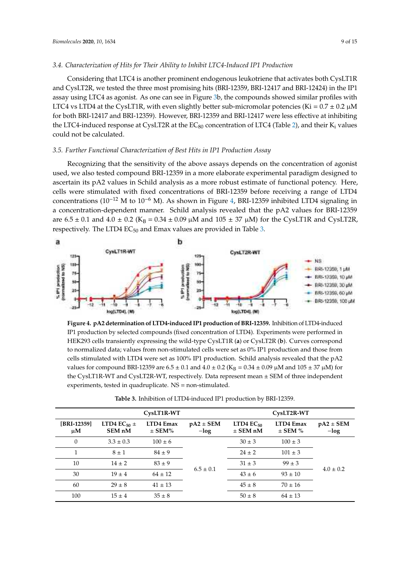#### *3.4. Characterization of Hits for Their Ability to Inhibit LTC4-Induced IP1 Production*  $C_{\rm 1}$  is another prominent endogenous leukotriene that activates both activates both activates both activates both activates both activates both activates both activates both activates both activates both activates bo

Considering that LTC4 is another prominent endogenous leukotriene that activates both CysLT1R and CysLT2R, we tested the three most promising hits (BRI-12359, BRI-12417 and BRI-12424) in the IP1 assay using LTC4 as agonist. As one can see in Figure 3b, the compounds showed similar profiles with LTC4 vs LTD4 at the CysLT1R, with even slightly better sub-micromolar potencies (Ki =  $0.7 \pm 0.2$   $\mu$ M for both BRI-12417 and BRI-12359). However, BRI-12359 and BRI-12417 were less effective at inhibiting the LTC4-induced response at CysLT2R at the  $EC_{80}$  concentration of LTC4 (Table [2\)](#page-7-0), and their  $K_i$  values could not be calculated.

#### *3.5. Further Functional Characterization of Best Hits in IP1 Production Assay 3.5. Further Functional Characterization of Best Hits in IP1 Production Assay*

Recognizing that the sensitivity of the above assays depends on the concentration of agonist used, we also tested compound BRI-12359 in a more elaborate experimental paradigm designed to ascertain its pA2 values in Schild analysis as a more robust estimate of functional potency. Here, cells were stimulated with fixed concentrations of BRI-12359 before receiving a range of LTD4 concentrations of BRI-12359 before receiving a range of LTD4 concentrations ( $10^{-12}$  M to  $10^{-6}$  M). As shown in Figure [4,](#page-8-0) BRI-12359 inhibited LTD4 signaling in a concentration-dependent manner. Schild analysis revealed that the pA2 values for BRI-12359 are  $6.5 \pm 0.1$  and  $4.0 \pm 0.2$  (K<sub>B</sub> = 0.34  $\pm$  0.09  $\mu$ M and 105  $\pm$  37  $\mu$ M) for the CysLT1R and CysLT2R, respectively. The LTD4  $EC_{50}$  and Emax values are provided in Table [3.](#page-8-1) Recognizing that the sensitivity of the above assays depends on the concentration of agonist necognizing that the sensitivity of the above assays depends on the concentration of agonist

<span id="page-8-0"></span>

**Figure 4. pA2 determination of LTD4-induced IP1 production of BRI-12359.** Inhibition of LTD4-induced IP1 production by selected compounds (fixed concentration of LTD4). Experiments were performed in HEK293 cells transiently expressing the wild-type CysLT1R (**a**) or CysLT2R (**b**). Curves correspond to normalized data; values from non-stimulated cells were set as 0% IP1 production and those from cells stimulated with LTD4 were set as 100% IP1 production. Schild analysis revealed that the pA2 values for compound BRI-12359 are  $6.5 \pm 0.1$  and  $4.0 \pm 0.2$  (K<sub>B</sub> = 0.34  $\pm$  0.09  $\mu$ M and 105  $\pm$  37  $\mu$ M) for the CysLT1R-WT and CysLT2R-WT, respectively. Data represent mean ± SEM of three independent experiments, tested in quadruplicate. NS = non-stimulated.

<span id="page-8-1"></span>

|                        |                                                  | CysLT1R-WT              | CysLT2R-WT               |                                  |                          |                          |  |
|------------------------|--------------------------------------------------|-------------------------|--------------------------|----------------------------------|--------------------------|--------------------------|--|
| [BRI-12359]<br>$\mu$ M | LTD4 EC <sub>50</sub> $\pm$<br>SEM <sub>nM</sub> | LTD4 Emax<br>$\pm$ SEM% | $pA2 \pm SEM$<br>$-\log$ | $LTD4$ $EC_{50}$<br>$\pm$ SEM nM | LTD4 Emax<br>$\pm$ SEM % | $pA2 \pm SEM$<br>$-\log$ |  |
| $\theta$               | $3.3 \pm 0.3$                                    | $100 \pm 6$             |                          | $30 \pm 3$                       | $100 \pm 3$              |                          |  |
| 1                      | $8 \pm 1$                                        | $84 \pm 9$              |                          | $24 \pm 2$                       | $101 \pm 3$              |                          |  |
| 10                     | $14 \pm 2$                                       | $83 + 9$                |                          | $31 \pm 3$                       | $99 \pm 3$               |                          |  |
| 30                     | $19 \pm 4$                                       | $64 \pm 12$             | $6.5 \pm 0.1$            | $43 \pm 6$                       | $93 \pm 10$              | $4.0 \pm 0.2$            |  |
| 60                     | $29 \pm 8$                                       | $41 \pm 13$             |                          | $45 \pm 8$                       | $70 \pm 16$              |                          |  |
| 100                    | $15 \pm 4$                                       | $35 \pm 8$              |                          | $50 \pm 8$                       | $64 \pm 13$              |                          |  |

**Table 3.** Inhibition of LTD4-induced IP1 production by BRI-12359.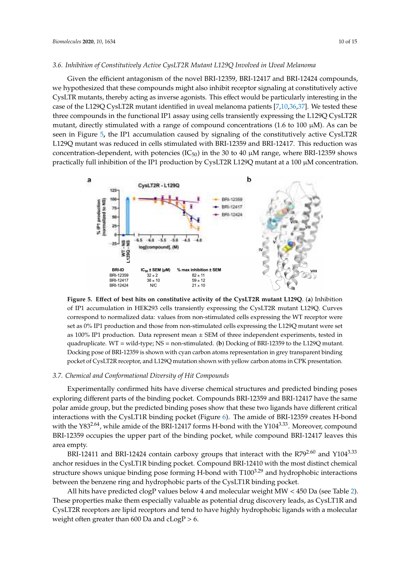## 3.6. Inhibition of Constitutively Active CysLT2R Mutant L129Q Involved in Uveal Melanoma

Given the efficient antagonism of the novel BRI-12359, BRI-12417 and BRI-12424 compounds, we hypothesized that these compounds might also inhibit receptor signaling at constitutively active CysLTR mutants, thereby acting as inverse agonists. This effect would be particularly interesting in the case of the L129Q CysLT2R mutant identified in uveal melanoma patients [\[7,](#page-12-5)[10](#page-12-7)[,36](#page-13-18)[,37\]](#page-13-19). We tested these three compounds in the functional IP1 assay using cells transiently expressing the L129Q CysLT2R mutant, directly stimulated with a range of compound concentrations (1.6 to 100 µM). As can be seen in Figure 5, the IP1 accumulation caused by signaling of the constitutively active CysLT2R L129Q mutant was reduced in cells stimulated with BRI-12359 and BRI-12417. This reduction was concentration-dependent, with potencies (IC<sub>50</sub>) in the 30 to 40  $\mu$ M range, where BRI-12359 shows practically full inhibition of the IP1 production by CysLT2R L129Q mutant at a 100  $\mu$ M concentration.

<span id="page-9-0"></span>

of IP1 accumulation in HEK293 cells transiently expressing the CysLT2R mutant L129Q. Curves correspond to normalized data: values from non-stimulated cells expressing the WT receptor were<br>correspond to normalized data: values from non-stimulated cells expressing the WT receptor were ext as 0.0 IP1 production and those from non-stimulated cells expressing the ETES  $\zeta$  mature were set as 100% IP1 production. Data represent mean ± SEM of three independent experiments, tested in as 18878 IP1 production Bata represent mean 2 set of these made penaltic experiments, tested in<br>quadruplicate. WT = wild-type; NS = non-stimulated. (**b**) Docking of BRI-12359 to the L129Q mutant. para represent means of the mean of the summation. (b) because of the 1233 is the 2123  $\chi$  meann. pocket of CysLT2R receptor, and L129Q mutation shown with yellow carbon atoms in CPK presentation. **Figure 5. E**ff**ect of best hits on constitutive activity of the CysLT2R mutant L129Q**. (**a**) Inhibition set as 0% IP1 production and those from non-stimulated cells expressing the L129Q mutant were set

#### *3.7. Chemical and Conformational Diversity of Hit Compounds*

Experimentally confirmed hits have diverse chemical structures and predicted binding poses exploring different parts of the binding pocket. Compounds BRI-12359 and BRI-12417 have the same polar amide group, but the predicted binding poses show that these two ligands have different critical interactions with the CysLT1R binding pocket (Figure [6\)](#page-10-0). The amide of BRI-12359 creates H-bond with the Y83<sup>2.64</sup>, while amide of the BRI-12417 forms H-bond with the Y104<sup>3.33</sup>. Moreover, compound BRI-12359 occupies the upper part of the binding pocket, while compound BRI-12417 leaves this area empty.

BRI-12411 and BRI-12424 contain carboxy groups that interact with the  $R79^{2.60}$  and  $Y104^{3.33}$ anchor residues in the CysLT1R binding pocket. Compound BRI-12410 with the most distinct chemical structure shows unique binding pose forming H-bond with T100<sup>3.29</sup> and hydrophobic interactions between the benzene ring and hydrophobic parts of the CysLT1R binding pocket.

All hits have predicted clogP values below 4 and molecular weight MW < 450 Da (see Table [2\)](#page-7-0). These properties make them especially valuable as potential drug discovery leads, as CysLT1R and CysLT2R receptors are lipid receptors and tend to have highly hydrophobic ligands with a molecular weight often greater than 600 Da and  $cLogP > 6$ .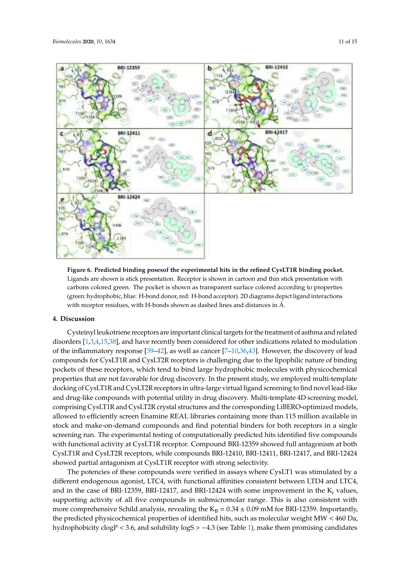<span id="page-10-0"></span>

Figure 6. Predicted binding posesof the experimental hits in the refined CysLT1R binding pocket. Ligands are shown is stick presentation. Receptor is shown in cartoon and thin stick presentation with Ligands are shown is stick presentation. Receptor is shown in cartoon and thin stick presentation with carbons colored green. The pocket is shown as transparent surface colored according to properties carbons colored green. The pocket is shown as transparent surface colored according to properties (green: hydrophobic, blue: H-bond donor, red: H-bond acceptor). 2D diagrams depict ligand (green: hydrophobic, blue: H-bond donor, red: H-bond acceptor). 2D diagrams depict ligand interactions with receptor residues, with H-bonds shown as dashed lines and distances in Å.

#### BRI-12411 and BRI-12424 contain carboxy groups that interact with the R792.60 and Y1043.33 **4. Discussion**

Cysteinyl leukotriene receptors are important clinical targets for the treatment of asthma and related disorders [1,3,4,15,38], and have recently been considered for other indications related to mod[u](#page-12-2)lation of the inflammatory response [39–42], as well as cancer [7–10,36,43]. However, the discovery [of](#page-13-18) lead compounds for CysLT1R and CysLT2R receptors is challenging due to the lipophilic nature of binding pockets of these receptors, which tend to bind large hydrophobic molecules with physicochemical properties that are not favorable for drug discovery. In the present study, we employed multi-template docking of CysLT1R and CysLT2R receptors in ultra-large virtual ligand screening to find novel lead-like comprising CysLT1R and CysLT2R crystal structures and the corresponding LiBERO-optimized models, allowed to efficiently screen Enamine REAL libraries containing more than 115 million available in stock and make-on-demand compounds and find potential binders for both receptors in a single screening run. The experimental testing of computationally predicted hits identified five compounds with functional activity at CysLT1R receptor. Compound BRI-12359 showed full antagonism at both CysLT1R and CysLT2R receptors, while compounds BRI-12410, BRI-12411, BRI-12417, and BRI-12424 and drug-like compounds with potential utility in drug discovery. Multi-template 4D screening model, showed partial antagonism at CysLT1R receptor with strong selectivity.

The potencies of these compounds were verified in assays where CysLT1 was stimulated by a different endogenous agonist, LTC4, with functional affinities consistent between LTD4 and LTC4, and in the case of BRI-12359, BRI-12417, and BRI-12424 with some improvement in the  $K_i$  values, supporting activity of all five compounds in submicromolar range. This is also consistent with more comprehensive Schild analysis, revealing the  $K_B = 0.34 \pm 0.09$  mM for BRI-12359. Importantly, the predicted physicochemical properties of identified hits, such as molecular weight MW < 460 Da, hydrophobicity  $\text{clogP} < 3.6$ , and solubility  $\text{logS} > -4.3$  (see Table [1\)](#page-4-0), make them promising candidates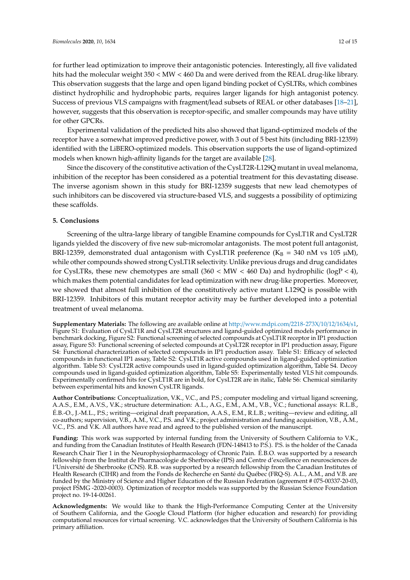for further lead optimization to improve their antagonistic potencies. Interestingly, all five validated hits had the molecular weight 350 < MW < 460 Da and were derived from the REAL drug-like library. This observation suggests that the large and open ligand binding pocket of CySLTRs, which combines distinct hydrophilic and hydrophobic parts, requires larger ligands for high antagonist potency. Success of previous VLS campaigns with fragment/lead subsets of REAL or other databases [\[18](#page-13-0)[–21\]](#page-13-1), however, suggests that this observation is receptor-specific, and smaller compounds may have utility for other GPCRs.

Experimental validation of the predicted hits also showed that ligand-optimized models of the receptor have a somewhat improved predictive power, with 3 out of 5 best hits (including BRI-12359) identified with the LiBERO-optimized models. This observation supports the use of ligand-optimized models when known high-affinity ligands for the target are available [\[28\]](#page-13-10).

Since the discovery of the constitutive activation of the CysLT2R-L129Q mutant in uveal melanoma, inhibition of the receptor has been considered as a potential treatment for this devastating disease. The inverse agonism shown in this study for BRI-12359 suggests that new lead chemotypes of such inhibitors can be discovered via structure-based VLS, and suggests a possibility of optimizing these scaffolds.

#### **5. Conclusions**

Screening of the ultra-large library of tangible Enamine compounds for CysLT1R and CysLT2R ligands yielded the discovery of five new sub-micromolar antagonists. The most potent full antagonist, BRI-12359, demonstrated dual antagonism with CysLT1R preference ( $K_B = 340$  nM vs 105  $\mu$ M), while other compounds showed strong CysLT1R selectivity. Unlike previous drugs and drug candidates for CysLTRs, these new chemotypes are small  $(360 < MW < 460$  Da) and hydrophilic  $(logP < 4)$ , which makes them potential candidates for lead optimization with new drug-like properties. Moreover, we showed that almost full inhibition of the constitutively active mutant L129Q is possible with BRI-12359. Inhibitors of this mutant receptor activity may be further developed into a potential treatment of uveal melanoma.

**Supplementary Materials:** The following are available online at http://[www.mdpi.com](http://www.mdpi.com/2218-273X/10/12/1634/s1)/2218-273X/10/12/1634/s1, Figure S1: Evaluation of CysLT1R and CysLT2R structures and ligand-guided optimized models performance in benchmark docking, Figure S2: Functional screening of selected compounds at CysLT1R receptor in IP1 production assay, Figure S3: Functional screening of selected compounds at CysLT2R receptor in IP1 production assay, Figure S4: Functional characterization of selected compounds in IP1 production assay. Table S1: Efficacy of selected compounds in functional IP1 assay, Table S2: CysLT1R active compounds used in ligand-guided optimization algorithm. Table S3: CysLT2R active compounds used in ligand-guided optimization algorithm, Table S4. Decoy compounds used in ligand-guided optimization algorithm, Table S5: Experimentally tested VLS hit compounds. Experimentally confirmed hits for CysLT1R are in bold, for CysLT2R are in italic, Table S6: Chemical similarity between experimental hits and known CysLTR ligands.

**Author Contributions:** Conceptualization, V.K., V.C., and P.S.; computer modeling and virtual ligand screening, A.A.S., E.M., A.V.S., V.K.; structure determination: A.L., A.G., E.M., A.M., V.B., V.C.; functional assays: R.L.B., É.B.-O., J.-M.L., P.S.; writing—original draft preparation, A.A.S., E.M., R.L.B.; writing—review and editing, all co-authors; supervision, V.B., A.M., V.C., P.S. and V.K.; project administration and funding acquisition, V.B., A.M., V.C., P.S. and  $\hat{V}$ .K. All authors have read and agreed to the published version of the manuscript.

**Funding:** This work was supported by internal funding from the University of Southern California to V.K., and funding from the Canadian Institutes of Health Research (FDN-148413 to P.S.). P.S. is the holder of the Canada Research Chair Tier 1 in the Neurophysiopharmacology of Chronic Pain. É.B.O. was supported by a research fellowship from the Institut de Pharmacologie de Sherbrooke (IPS) and Centre d'excellence en neurosciences de l'Université de Sherbrooke (CNS). R.B. was supported by a research fellowship from the Canadian Institutes of Health Research (CIHR) and from the Fonds de Recherche en Santé du Québec (FRQ-S). A.L., A.M., and V.B. are funded by the Ministry of Science and Higher Education of the Russian Federation (agreement # 075-00337-20-03, project FSMG -2020-0003). Optimization of receptor models was supported by the Russian Science Foundation project no. 19-14-00261.

**Acknowledgments:** We would like to thank the High-Performance Computing Center at the University of Southern California, and the Google Cloud Platform (for higher education and research) for providing computational resources for virtual screening. V.C. acknowledges that the University of Southern California is his primary affiliation.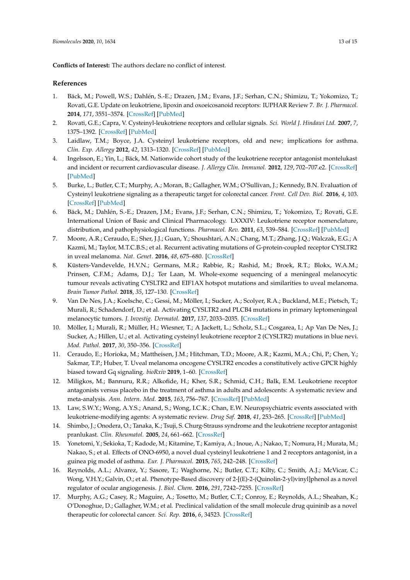**Conflicts of Interest:** The authors declare no conflict of interest.

#### **References**

- <span id="page-12-0"></span>1. Bäck, M.; Powell, W.S.; Dahlén, S.-E.; Drazen, J.M.; Evans, J.F.; Serhan, C.N.; Shimizu, T.; Yokomizo, T.; Rovati, G.E. Update on leukotriene, lipoxin and oxoeicosanoid receptors: IUPHAR Review 7. *Br. J. Pharmacol.* **2014**, *171*, 3551–3574. [\[CrossRef\]](http://dx.doi.org/10.1111/bph.12665) [\[PubMed\]](http://www.ncbi.nlm.nih.gov/pubmed/24588652)
- <span id="page-12-1"></span>2. Rovati, G.E.; Capra, V. Cysteinyl-leukotriene receptors and cellular signals. *Sci. World J. Hindawi Ltd.* **2007**, *7*, 1375–1392. [\[CrossRef\]](http://dx.doi.org/10.1100/tsw.2007.185) [\[PubMed\]](http://www.ncbi.nlm.nih.gov/pubmed/17767356)
- <span id="page-12-2"></span>3. Laidlaw, T.M.; Boyce, J.A. Cysteinyl leukotriene receptors, old and new; implications for asthma. *Clin. Exp. Allergy* **2012**, *42*, 1313–1320. [\[CrossRef\]](http://dx.doi.org/10.1111/j.1365-2222.2012.03982.x) [\[PubMed\]](http://www.ncbi.nlm.nih.gov/pubmed/22925317)
- <span id="page-12-15"></span>4. Ingelsson, E.; Yin, L.; Bäck, M. Nationwide cohort study of the leukotriene receptor antagonist montelukast and incident or recurrent cardiovascular disease. *J. Allergy Clin. Immunol.* **2012**, *129*, 702–707.e2. [\[CrossRef\]](http://dx.doi.org/10.1016/j.jaci.2011.11.052) [\[PubMed\]](http://www.ncbi.nlm.nih.gov/pubmed/22244598)
- <span id="page-12-3"></span>5. Burke, L.; Butler, C.T.; Murphy, A.; Moran, B.; Gallagher, W.M.; O'Sullivan, J.; Kennedy, B.N. Evaluation of Cysteinyl leukotriene signaling as a therapeutic target for colorectal cancer. *Front. Cell Dev. Biol.* **2016**, *4*, 103. [\[CrossRef\]](http://dx.doi.org/10.3389/fcell.2016.00103) [\[PubMed\]](http://www.ncbi.nlm.nih.gov/pubmed/27709113)
- <span id="page-12-4"></span>6. Bäck, M.; Dahlén, S.-E.; Drazen, J.M.; Evans, J.F.; Serhan, C.N.; Shimizu, T.; Yokomizo, T.; Rovati, G.E. International Union of Basic and Clinical Pharmacology. LXXXIV: Leukotriene receptor nomenclature, distribution, and pathophysiological functions. *Pharmacol. Rev.* **2011**, *63*, 539–584. [\[CrossRef\]](http://dx.doi.org/10.1124/pr.110.004184) [\[PubMed\]](http://www.ncbi.nlm.nih.gov/pubmed/21771892)
- <span id="page-12-5"></span>7. Moore, A.R.; Ceraudo, E.; Sher, J.J.; Guan, Y.; Shoushtari, A.N.; Chang, M.T.; Zhang, J.Q.; Walczak, E.G.; A Kazmi, M.; Taylor, M.T.C.B.S.; et al. Recurrent activating mutations of G-protein-coupled receptor CYSLTR2 in uveal melanoma. *Nat. Genet.* **2016**, *48*, 675–680. [\[CrossRef\]](http://dx.doi.org/10.1038/ng.3549)
- <span id="page-12-6"></span>8. Küsters-Vandevelde, H.V.N.; Germans, M.R.; Rabbie, R.; Rashid, M.; Broek, R.T.; Blokx, W.A.M.; Prinsen, C.F.M.; Adams, D.J.; Ter Laan, M. Whole-exome sequencing of a meningeal melanocytic tumour reveals activating CYSLTR2 and EIF1AX hotspot mutations and similarities to uveal melanoma. *Brain Tumor Pathol.* **2018**, *35*, 127–130. [\[CrossRef\]](http://dx.doi.org/10.1007/s10014-018-0308-1)
- 9. Van De Nes, J.A.; Koelsche, C.; Gessi, M.; Möller, I.; Sucker, A.; Scolyer, R.A.; Buckland, M.E.; Pietsch, T.; Murali, R.; Schadendorf, D.; et al. Activating CYSLTR2 and PLCB4 mutations in primary leptomeningeal melanocytic tumors. *J. Investig. Dermatol.* **2017**, *137*, 2033–2035. [\[CrossRef\]](http://dx.doi.org/10.1016/j.jid.2017.04.022)
- <span id="page-12-7"></span>10. Möller, I.; Murali, R.; Müller, H.; Wiesner, T.; A Jackett, L.; Scholz, S.L.; Cosgarea, I.; Ap Van De Nes, J.; Sucker, A.; Hillen, U.; et al. Activating cysteinyl leukotriene receptor 2 (CYSLTR2) mutations in blue nevi. *Mod. Pathol.* **2017**, *30*, 350–356. [\[CrossRef\]](http://dx.doi.org/10.1038/modpathol.2016.201)
- <span id="page-12-8"></span>11. Ceraudo, E.; Horioka, M.; Mattheisen, J.M.; Hitchman, T.D.; Moore, A.R.; Kazmi, M.A.; Chi, P.; Chen, Y.; Sakmar, T.P.; Huber, T. Uveal melanoma oncogene CYSLTR2 encodes a constitutively active GPCR highly biased toward Gq signaling. *bioRxiv* **2019**, 1–60. [\[CrossRef\]](http://dx.doi.org/10.1101/663153)
- <span id="page-12-9"></span>12. Miligkos, M.; Bannuru, R.R.; Alkofide, H.; Kher, S.R.; Schmid, C.H.; Balk, E.M. Leukotriene receptor antagonists versus placebo in the treatment of asthma in adults and adolescents: A systematic review and meta-analysis. *Ann. Intern. Med.* **2015**, *163*, 756–767. [\[CrossRef\]](http://dx.doi.org/10.7326/M15-1059) [\[PubMed\]](http://www.ncbi.nlm.nih.gov/pubmed/26390230)
- <span id="page-12-10"></span>13. Law, S.W.Y.; Wong, A.Y.S.; Anand, S.; Wong, I.C.K.; Chan, E.W. Neuropsychiatric events associated with leukotriene-modifying agents: A systematic review. *Drug Saf.* **2018**, *41*, 253–265. [\[CrossRef\]](http://dx.doi.org/10.1007/s40264-017-0607-1) [\[PubMed\]](http://www.ncbi.nlm.nih.gov/pubmed/29076063)
- <span id="page-12-11"></span>14. Shimbo, J.; Onodera, O.; Tanaka, K.; Tsuji, S. Churg-Strauss syndrome and the leukotriene receptor antagonist pranlukast. *Clin. Rheumatol.* **2005**, *24*, 661–662. [\[CrossRef\]](http://dx.doi.org/10.1007/s10067-004-1035-z)
- <span id="page-12-12"></span>15. Yonetomi, Y.; Sekioka, T.; Kadode, M.; Kitamine, T.; Kamiya, A.; Inoue, A.; Nakao, T.; Nomura, H.; Murata, M.; Nakao, S.; et al. Effects of ONO-6950, a novel dual cysteinyl leukotriene 1 and 2 receptors antagonist, in a guinea pig model of asthma. *Eur. J. Pharmacol.* **2015**, *765*, 242–248. [\[CrossRef\]](http://dx.doi.org/10.1016/j.ejphar.2015.08.041)
- <span id="page-12-13"></span>16. Reynolds, A.L.; Alvarez, Y.; Sasore, T.; Waghorne, N.; Butler, C.T.; Kilty, C.; Smith, A.J.; McVicar, C.; Wong, V.H.Y.; Galvin, O.; et al. Phenotype-Based discovery of 2-[(E)-2-(Quinolin-2-yl)vinyl]phenol as a novel regulator of ocular angiogenesis. *J. Biol. Chem.* **2016**, *291*, 7242–7255. [\[CrossRef\]](http://dx.doi.org/10.1074/jbc.M115.710665)
- <span id="page-12-14"></span>17. Murphy, A.G.; Casey, R.; Maguire, A.; Tosetto, M.; Butler, C.T.; Conroy, E.; Reynolds, A.L.; Sheahan, K.; O'Donoghue, D.; Gallagher, W.M.; et al. Preclinical validation of the small molecule drug quininib as a novel therapeutic for colorectal cancer. *Sci. Rep.* **2016**, *6*, 34523. [\[CrossRef\]](http://dx.doi.org/10.1038/srep34523)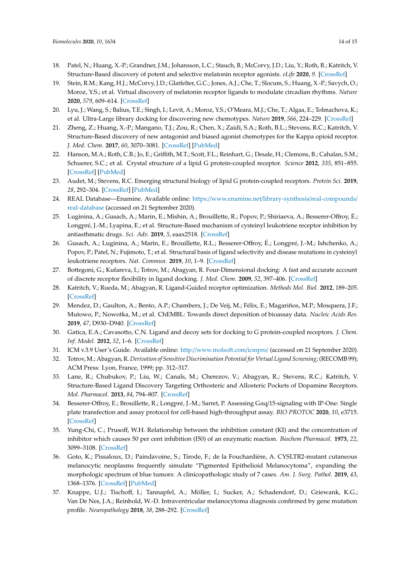- <span id="page-13-0"></span>18. Patel, N.; Huang, X.-P.; Grandner, J.M.; Johansson, L.C.; Stauch, B.; McCorvy, J.D.; Liu, Y.; Roth, B.; Katritch, V. Structure-Based discovery of potent and selective melatonin receptor agonists. *eLife* **2020**, *9*. [\[CrossRef\]](http://dx.doi.org/10.7554/eLife.53779)
- <span id="page-13-5"></span>19. Stein, R.M.; Kang, H.J.; McCorvy, J.D.; Glatfelter, G.C.; Jones, A.J.; Che, T.; Slocum, S.; Huang, X.-P.; Savych, O.; Moroz, Y.S.; et al. Virtual discovery of melatonin receptor ligands to modulate circadian rhythms. *Nature* **2020**, *579*, 609–614. [\[CrossRef\]](http://dx.doi.org/10.1038/s41586-020-2027-0)
- <span id="page-13-6"></span>20. Lyu, J.; Wang, S.; Balius, T.E.; Singh, I.; Levit, A.; Moroz, Y.S.; O'Meara, M.J.; Che, T.; Algaa, E.; Tolmachova, K.; et al. Ultra-Large library docking for discovering new chemotypes. *Nature* **2019**, *566*, 224–229. [\[CrossRef\]](http://dx.doi.org/10.1038/s41586-019-0917-9)
- <span id="page-13-1"></span>21. Zheng, Z.; Huang, X.-P.; Mangano, T.J.; Zou, R.; Chen, X.; Zaidi, S.A.; Roth, B.L.; Stevens, R.C.; Katritch, V. Structure-Based discovery of new antagonist and biased agonist chemotypes for the Kappa opioid receptor. *J. Med. Chem.* **2017**, *60*, 3070–3081. [\[CrossRef\]](http://dx.doi.org/10.1021/acs.jmedchem.7b00109) [\[PubMed\]](http://www.ncbi.nlm.nih.gov/pubmed/28339199)
- <span id="page-13-2"></span>22. Hanson, M.A.; Roth, C.B.; Jo, E.; Griffith, M.T.; Scott, F.L.; Reinhart, G.; Desale, H.; Clemons, B.; Cahalan, S.M.; Schuerer, S.C.; et al. Crystal structure of a lipid G protein-coupled receptor. *Science* **2012**, *335*, 851–855. [\[CrossRef\]](http://dx.doi.org/10.1126/science.1215904) [\[PubMed\]](http://www.ncbi.nlm.nih.gov/pubmed/22344443)
- <span id="page-13-3"></span>23. Audet, M.; Stevens, R.C. Emerging structural biology of lipid G protein-coupled receptors. *Protein Sci.* **2019**, *28*, 292–304. [\[CrossRef\]](http://dx.doi.org/10.1002/pro.3509) [\[PubMed\]](http://www.ncbi.nlm.nih.gov/pubmed/30239054)
- <span id="page-13-4"></span>24. REAL Database—Enamine. Available online: https://[www.enamine.net](https://www.enamine.net/library-synthesis/real-compounds/real-database)/library-synthesis/real-compounds/ [real-database](https://www.enamine.net/library-synthesis/real-compounds/real-database) (accessed on 21 September 2020).
- <span id="page-13-7"></span>25. Luginina, A.; Gusach, A.; Marin, E.; Mishin, A.; Brouillette, R.; Popov, P.; Shiriaeva, A.; Besserer-Offroy, É.; Longpré, J.-M.; Lyapina, E.; et al. Structure-Based mechanism of cysteinyl leukotriene receptor inhibition by antiasthmatic drugs. *Sci. Adv.* **2019**, *5*, eaax2518. [\[CrossRef\]](http://dx.doi.org/10.1126/sciadv.aax2518)
- <span id="page-13-8"></span>26. Gusach, A.; Luginina, A.; Marin, E.; Brouillette, R.L.; Besserer-Offroy, É.; Longpré, J.-M.; Ishchenko, A.; Popov, P.; Patel, N.; Fujimoto, T.; et al. Structural basis of ligand selectivity and disease mutations in cysteinyl leukotriene receptors. *Nat. Commun.* **2019**, *10*, 1–9. [\[CrossRef\]](http://dx.doi.org/10.1038/s41467-019-13348-2)
- <span id="page-13-9"></span>27. Bottegoni, G.; Kufareva, I.; Totrov, M.; Abagyan, R. Four-Dimensional docking: A fast and accurate account of discrete receptor flexibility in ligand docking. *J. Med. Chem.* **2009**, *52*, 397–406. [\[CrossRef\]](http://dx.doi.org/10.1021/jm8009958)
- <span id="page-13-10"></span>28. Katritch, V.; Rueda, M.; Abagyan, R. Ligand-Guided receptor optimization. *Methods Mol. Biol.* **2012**, 189–205. [\[CrossRef\]](http://dx.doi.org/10.1007/978-1-61779-588-6_8)
- <span id="page-13-11"></span>29. Mendez, D.; Gaulton, A.; Bento, A.P.; Chambers, J.; De Veij, M.; Félix, E.; Magariños, M.P.; Mosquera, J.F.; Mutowo, P.; Nowotka, M.; et al. ChEMBL: Towards direct deposition of bioassay data. *Nucleic Acids Res.* **2019**, *47*, D930–D940. [\[CrossRef\]](http://dx.doi.org/10.1093/nar/gky1075)
- <span id="page-13-12"></span>30. Gatica, E.A.; Cavasotto, C.N. Ligand and decoy sets for docking to G protein-coupled receptors. *J. Chem. Inf. Model.* **2012**, *52*, 1–6. [\[CrossRef\]](http://dx.doi.org/10.1021/ci200412p)
- <span id="page-13-13"></span>31. ICM v.3.9 User's Guide. Available online: http://[www.molsoft.com](http://www.molsoft.com/icmpro/)/icmpro/ (accessed on 21 September 2020).
- <span id="page-13-14"></span>32. Totrov, M.; Abagyan, R. *Derivation of Sensitive Discrimination Potential for Virtual Ligand Screening*; (RECOMB 99); ACM Press: Lyon, France, 1999; pp. 312–317.
- <span id="page-13-15"></span>33. Lane, R.; Chubukov, P.; Liu, W.; Canals, M.; Cherezov, V.; Abagyan, R.; Stevens, R.C.; Katritch, V. Structure-Based Ligand Discovery Targeting Orthosteric and Allosteric Pockets of Dopamine Receptors. *Mol. Pharmacol.* **2013**, *84*, 794–807. [\[CrossRef\]](http://dx.doi.org/10.1124/mol.113.088054)
- <span id="page-13-16"></span>34. Besserer-Offroy, E.; Brouillette, R.; Longpré, J.-M.; Sarret, P. Assessing Gαq/15-signaling with IP-One: Single plate transfection and assay protocol for cell-based high-throughput assay. *BIO PROTOC* **2020**, *10*, e3715. [\[CrossRef\]](http://dx.doi.org/10.21769/BioProtoc.3715)
- <span id="page-13-17"></span>35. Yung-Chi, C.; Prusoff, W.H. Relationship between the inhibition constant (KI) and the concentration of inhibitor which causes 50 per cent inhibition (I50) of an enzymatic reaction. *Biochem Pharmacol.* **1973**, *22*, 3099–3108. [\[CrossRef\]](http://dx.doi.org/10.1016/0006-2952(73)90196-2)
- <span id="page-13-18"></span>36. Goto, K.; Pissaloux, D.; Paindavoine, S.; Tirode, F.; de la Fouchardière, A. CYSLTR2-mutant cutaneous melanocytic neoplasms frequently simulate "Pigmented Epithelioid Melanocytoma", expanding the morphologic spectrum of blue tumors: A clinicopathologic study of 7 cases. *Am. J. Surg. Pathol.* **2019**, *43*, 1368–1376. [\[CrossRef\]](http://dx.doi.org/10.1097/PAS.0000000000001299) [\[PubMed\]](http://www.ncbi.nlm.nih.gov/pubmed/31162285)
- <span id="page-13-19"></span>37. Knappe, U.J.; Tischoff, I.; Tannapfel, A.; Möller, I.; Sucker, A.; Schadendorf, D.; Griewank, K.G.; Van De Nes, J.A.; Reinbold, W.-D. Intraventricular melanocytoma diagnosis confirmed by gene mutation profile. *Neuropathology* **2018**, *38*, 288–292. [\[CrossRef\]](http://dx.doi.org/10.1111/neup.12443)